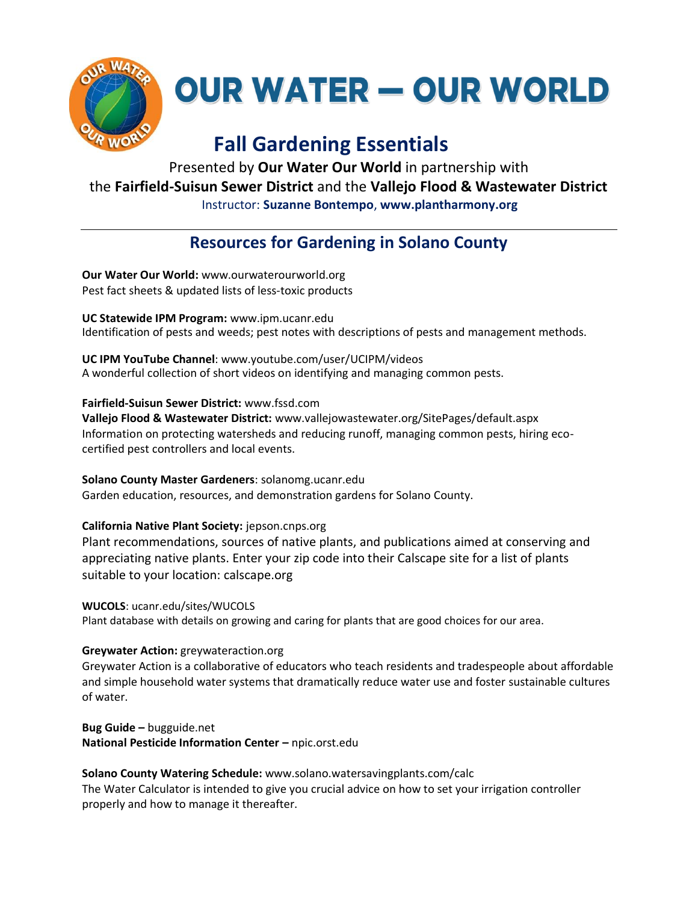

**OUR WATER - OUR WORLD** 

# **Fall Gardening Essentials**

Presented by **Our Water Our World** in partnership with the **Fairfield-Suisun Sewer District** and the **Vallejo Flood & Wastewater District** Instructor: **Suzanne Bontempo**, **www.plantharmony.org**

## **Resources for Gardening in Solano County**

**Our Water Our World:** www.ourwaterourworld.org Pest fact sheets & updated lists of less-toxic products

**UC Statewide IPM Program:** www.ipm.ucanr.edu Identification of pests and weeds; pest notes with descriptions of pests and management methods.

**UC IPM YouTube Channel**: www.youtube.com/user/UCIPM/videos A wonderful collection of short videos on identifying and managing common pests.

**Fairfield-Suisun Sewer District:** www.fssd.com **Vallejo Flood & Wastewater District:** www.vallejowastewater.org/SitePages/default.aspx

Information on protecting watersheds and reducing runoff, managing common pests, hiring ecocertified pest controllers and local events.

**Solano County Master Gardeners**: solanomg.ucanr.edu Garden education, resources, and demonstration gardens for Solano County.

**California Native Plant Society:** jepson.cnps.org

Plant recommendations, sources of native plants, and publications aimed at conserving and appreciating native plants. Enter your zip code into their Calscape site for a list of plants suitable to your location: calscape.org

**WUCOLS**: ucanr.edu/sites/WUCOLS Plant database with details on growing and caring for plants that are good choices for our area.

### **Greywater Action:** greywateraction.org

Greywater Action is a collaborative of educators who teach residents and tradespeople about affordable and simple household water systems that dramatically reduce water use and foster sustainable cultures of water.

**Bug Guide –** bugguide.net **National Pesticide Information Center –** npic.orst.edu

**Solano County Watering Schedule:** www.solano.watersavingplants.com/calc

The Water Calculator is intended to give you crucial advice on how to set your irrigation controller properly and how to manage it thereafter.